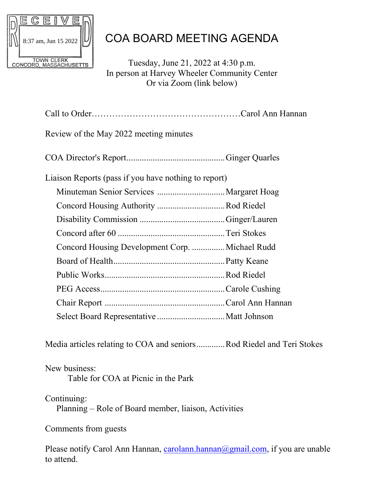

## COA BOARD MEETING AGENDA

Tuesday, June 21, 2022 at 4:30 p.m. In person at Harvey Wheeler Community Center Or via Zoom (link below)

| Review of the May 2022 meeting minutes               |  |
|------------------------------------------------------|--|
|                                                      |  |
| Liaison Reports (pass if you have nothing to report) |  |
|                                                      |  |
| Concord Housing Authority Rod Riedel                 |  |
|                                                      |  |
|                                                      |  |
| Concord Housing Development Corp.  Michael Rudd      |  |
|                                                      |  |
|                                                      |  |
|                                                      |  |
|                                                      |  |
|                                                      |  |
|                                                      |  |

Media articles relating to COA and seniors.............Rod Riedel and Teri Stokes

## New business: Table for COA at Picnic in the Park

## Continuing:

Planning – Role of Board member, liaison, Activities

Comments from guests

Please notify Carol Ann Hannan, [carolann.hannan@gmail.com,](mailto:carolann.hannan@gmail.com) if you are unable to attend.